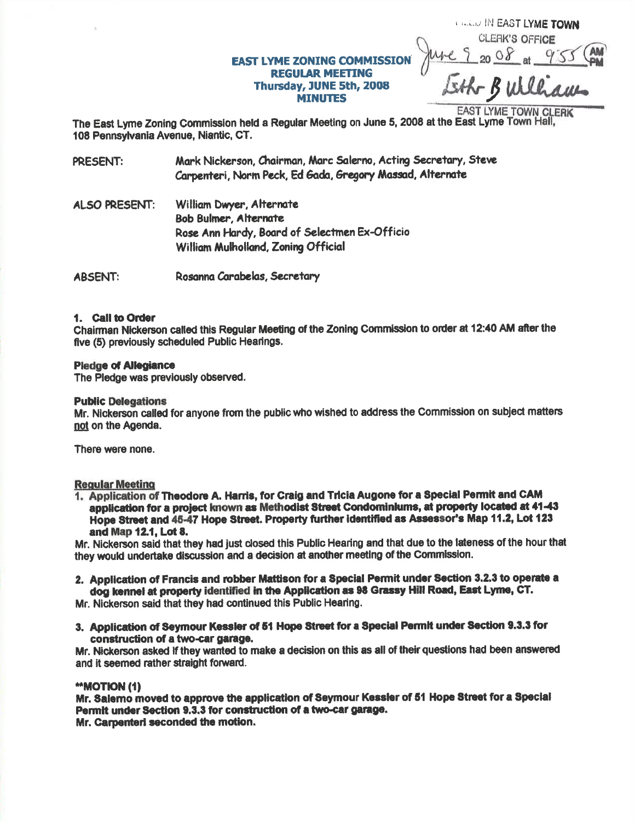# **EAST LYME ZONING COMMISSIO REGULAR MEETING** Thursday, JUNE 5th, 2008 **MINUTES**

**CLERK'S OFFICE**  $20 \frac{08}{5}$  at \_ Lith Buller

*CALLID IN EAST LYME TOWN* 

EAST LYME TOWN CLERK<br>The East Lyme Zoning Commission held a Regular Meeting on June 5, 2008 at the East Lyme Town Hall, 108 Pennsylvania Avenue, Niantic, CT.

Mark Nickerson, Chairman, Marc Salerno, Acting Secretary, Steve **PRESENT:** Carpenteri, Norm Peck, Ed Gada, Gregory Massad, Alternate

**ALSO PRESENT:** William Dwyer, Alternate **Bob Bulmer, Alternate** Rose Ann Hardy, Board of Selectmen Ex-Officio William Mulholland, Zoning Official

**ABSENT:** Rosanna Carabelas, Secretary

### 1. Call to Order

Chairman Nickerson called this Regular Meeting of the Zoning Commission to order at 12:40 AM after the five (5) previously scheduled Public Hearings.

## **Pledge of Allegiance**

The Pledge was previously observed.

### **Public Delegations**

Mr. Nickerson called for anyone from the public who wished to address the Commission on subject matters not on the Agenda.

There were none.

# **Regular Meeting**

1. Application of Theodore A. Harris, for Craig and Tricia Augone for a Special Permit and CAM application for a project known as Methodist Street Condominiums, at property located at 41-43 Hope Street and 45-47 Hope Street. Property further identified as Assessor's Map 11.2, Lot 123 and Map 12.1, Lot 8.

Mr. Nickerson said that they had just closed this Public Hearing and that due to the lateness of the hour that they would undertake discussion and a decision at another meeting of the Commission.

2. Application of Francis and robber Mattison for a Special Permit under Section 3.2.3 to operate a dog kennel at property identified in the Application as 98 Grassy Hill Road, East Lyme, CT.

Mr. Nickerson said that they had continued this Public Hearing.

3. Application of Seymour Kessler of 51 Hope Street for a Special Permit under Section 9.3.3 for construction of a two-car garage.

Mr. Nickerson asked if they wanted to make a decision on this as all of their questions had been answered and it seemed rather straight forward.

## "MOTION (1)

Mr. Salemo moved to approve the application of Seymour Kessler of 51 Hope Street for a Special Permit under Section 9.3.3 for construction of a two-car garage. Mr. Carpenteri seconded the motion.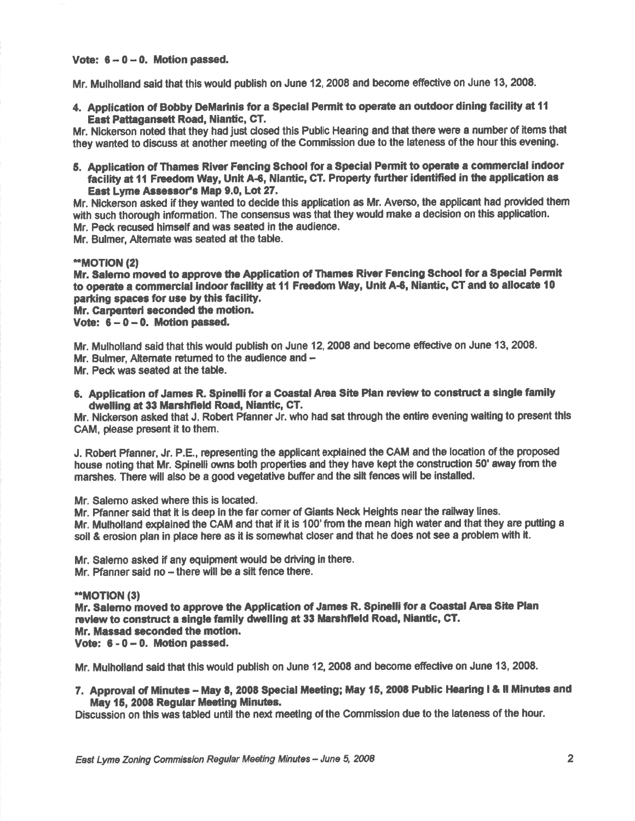### Vote:  $6 - 0 - 0$ . Motion passed.

Mr. Mulholland said that this would publish on June 12, 2008 and become effective on June 13, 2008.

4. Application of Bobby DeMarinis for a Special Permit to operate an outdoor dining facility at 11 East Pattagansett Road, Niantic, CT.

Mr. Nickerson noted that they had just closed this Public Hearing and that there were a number of items that they wanted to discuss at another meeting of the Commission due to the lateness of the hour this evening.

5. Application of Thames River Fencing School for a Special Permit to operate a commercial indoor facility at 11 Freedom Way, Unit A-6, Niantic, CT. Property further identified in the application as East Lyme Assessor's Map 9.0, Lot 27.

Mr. Nickerson asked if they wanted to decide this application as Mr. Averso, the applicant had provided them with such thorough information. The consensus was that they would make a decision on this application. Mr. Peck recused himself and was seated in the audience.

Mr. Bulmer, Altemate was seated at the table.

# \*\*MOTION (2)

Mr. Salemo moved to approve the Application of Thames River Fencing School for a Special Permit to operate a commercial indoor facility at 11 Freedom Way, Unit A-6, Niantic, CT and to allocate 10 parking spaces for use by this facility,

Mr. Carpenteri seconded the motion.

Vote:  $6 - 0 - 0$ . Motion passed.

Mr. Mulholland said that this would publish on June 12, 2008 and become effective on June 13, 2008. Mr. Bulmer, Alternate returned to the audience and -

Mr. Peck was seated at the table.

6. Application of James R. Spinelli for a Coastal Area Site Plan review to construct a single family dwslling at 33 Marshfield Road, Niantic, CT.

Mr. Nickerson asked that J. Robert Pfanner Jr. who had sat through the entire evening waiting to present this CAM, please present it to them

J. Robert Pfanner, Jr. P.E., representing the applicant explained the CAM and the location of the poposed house noting that Mr. Spinelli owns both properties and they have kept the construction 50' away from the marshes. There will also be a good vegetative buffer and the silt fences will be installed.

Mr. Salemo asked where this is located.

Mr. Pfanner seid thet it is deep ln the far comer of Giants Neck Heights near the rallway lines.

Mr. Mulholland explained the CAM and that if it is 100' from the mean high water and that they are pufiing <sup>a</sup> soil & erosion plan in place here as it is somewhat closer and that he does not see a problem with it.

Mr. Salemo asked if any equipment would be driving in there.

Mr. Pfanner said no  $-$  there will be a silt fence there.

### \*\*MOTION (3)

Mr. Salemo moved to approve the Application of James R. Spinelli for a Coastal Area Site Plan review to construct a single family dwelling at 33 Marshfield Road, Niantic, CT. Mr. Massad seconded the motion. Vote:  $6 - 0 - 0$ . Motion passed.

Mr. Mulholland said that this would publish on June 12, 2008 and become effective on June 13, 2008.

7. Approval of Minutes - May 8, 2008 Special Meeting; May 15, 2008 Public Hearing I & II Minutes and May 15, 2008 Regular Meeting Minutes.

Discussion on this was tabled until the next meeting of the Commission due to the lateness of the hour.